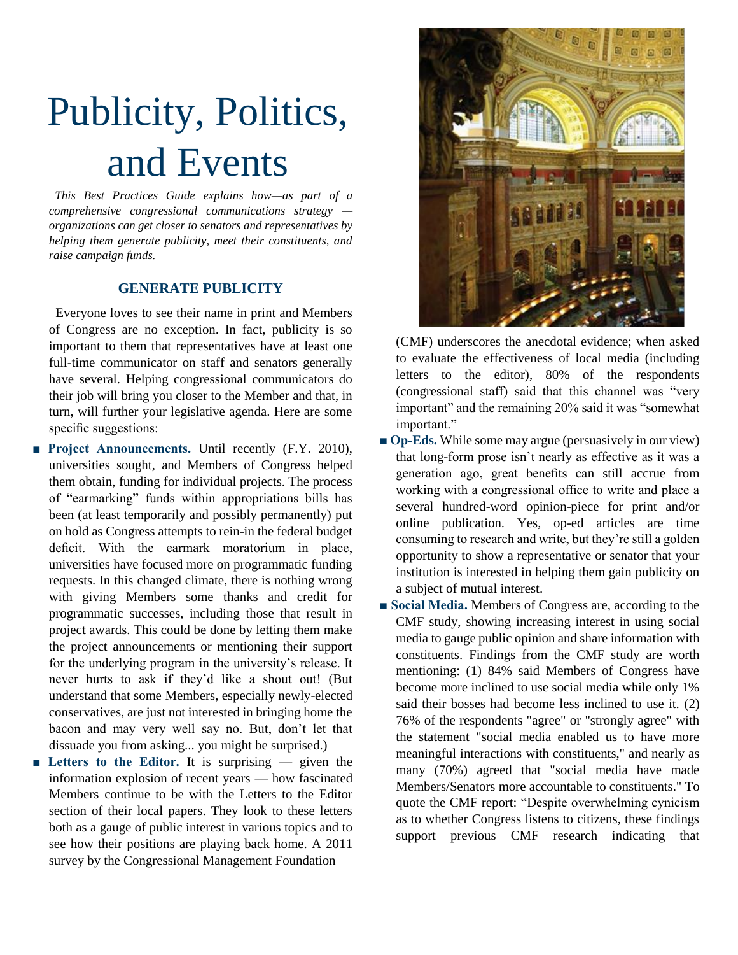## Publicity, Politics, and Events

 *This Best Practices Guide explains how—as part of a comprehensive congressional communications strategy organizations can get closer to senators and representatives by helping them generate publicity, meet their constituents, and raise campaign funds.* 

## **GENERATE PUBLICITY**

 Everyone loves to see their name in print and Members of Congress are no exception. In fact, publicity is so important to them that representatives have at least one full-time communicator on staff and senators generally have several. Helping congressional communicators do their job will bring you closer to the Member and that, in turn, will further your legislative agenda. Here are some specific suggestions:

- Project Announcements. Until recently (F.Y. 2010), universities sought, and Members of Congress helped them obtain, funding for individual projects. The process of "earmarking" funds within appropriations bills has been (at least temporarily and possibly permanently) put on hold as Congress attempts to rein-in the federal budget deficit. With the earmark moratorium in place, universities have focused more on programmatic funding requests. In this changed climate, there is nothing wrong with giving Members some thanks and credit for programmatic successes, including those that result in project awards. This could be done by letting them make the project announcements or mentioning their support for the underlying program in the university's release. It never hurts to ask if they'd like a shout out! (But understand that some Members, especially newly-elected conservatives, are just not interested in bringing home the bacon and may very well say no. But, don't let that dissuade you from asking... you might be surprised.)
- Letters to the Editor. It is surprising given the information explosion of recent years — how fascinated Members continue to be with the Letters to the Editor section of their local papers. They look to these letters both as a gauge of public interest in various topics and to see how their positions are playing back home. A 2011 survey by the Congressional Management Foundation



(CMF) underscores the anecdotal evidence; when asked to evaluate the effectiveness of local media (including letters to the editor), 80% of the respondents (congressional staff) said that this channel was "very important" and the remaining 20% said it was "somewhat important."

- **Op-Eds.** While some may argue (persuasively in our view) that long-form prose isn't nearly as effective as it was a generation ago, great benefits can still accrue from working with a congressional office to write and place a several hundred-word opinion-piece for print and/or online publication. Yes, op-ed articles are time consuming to research and write, but they're still a golden opportunity to show a representative or senator that your institution is interested in helping them gain publicity on a subject of mutual interest.
- **Social Media.** Members of Congress are, according to the CMF study, showing increasing interest in using social media to gauge public opinion and share information with constituents. Findings from the CMF study are worth mentioning: (1) 84% said Members of Congress have become more inclined to use social media while only 1% said their bosses had become less inclined to use it. (2) 76% of the respondents "agree" or "strongly agree" with the statement "social media enabled us to have more meaningful interactions with constituents," and nearly as many (70%) agreed that "social media have made Members/Senators more accountable to constituents." To quote the CMF report: "Despite overwhelming cynicism as to whether Congress listens to citizens, these findings support previous CMF research indicating that